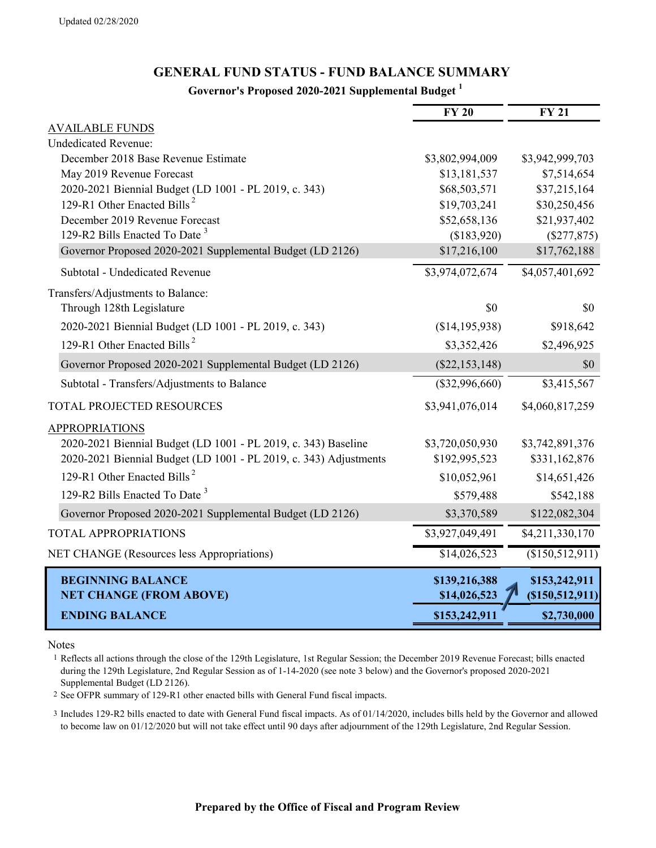## **GENERAL FUND STATUS - FUND BALANCE SUMMARY**

## **Governor's Proposed 2020-2021 Supplemental Budget <sup>1</sup>**

|                                                                   | $\overline{FY}$ 20 | $\overline{FY}$ 21 |
|-------------------------------------------------------------------|--------------------|--------------------|
| <b>AVAILABLE FUNDS</b>                                            |                    |                    |
| <b>Undedicated Revenue:</b>                                       |                    |                    |
| December 2018 Base Revenue Estimate                               | \$3,802,994,009    | \$3,942,999,703    |
| May 2019 Revenue Forecast                                         | \$13,181,537       | \$7,514,654        |
| 2020-2021 Biennial Budget (LD 1001 - PL 2019, c. 343)             | \$68,503,571       | \$37,215,164       |
| 129-R1 Other Enacted Bills <sup>2</sup>                           | \$19,703,241       | \$30,250,456       |
| December 2019 Revenue Forecast                                    | \$52,658,136       | \$21,937,402       |
| 129-R2 Bills Enacted To Date <sup>3</sup>                         | (\$183,920)        | $(\$277,875)$      |
| Governor Proposed 2020-2021 Supplemental Budget (LD 2126)         | \$17,216,100       | \$17,762,188       |
| Subtotal - Undedicated Revenue                                    | \$3,974,072,674    | \$4,057,401,692    |
| Transfers/Adjustments to Balance:                                 |                    |                    |
| Through 128th Legislature                                         | \$0                | \$0                |
| 2020-2021 Biennial Budget (LD 1001 - PL 2019, c. 343)             | (\$14,195,938)     | \$918,642          |
| 129-R1 Other Enacted Bills <sup>2</sup>                           | \$3,352,426        | \$2,496,925        |
| Governor Proposed 2020-2021 Supplemental Budget (LD 2126)         | $(\$22,153,148)$   | \$0                |
| Subtotal - Transfers/Adjustments to Balance                       | $(\$32,996,660)$   | \$3,415,567        |
| TOTAL PROJECTED RESOURCES                                         | \$3,941,076,014    | \$4,060,817,259    |
| <b>APPROPRIATIONS</b>                                             |                    |                    |
| 2020-2021 Biennial Budget (LD 1001 - PL 2019, c. 343) Baseline    | \$3,720,050,930    | \$3,742,891,376    |
| 2020-2021 Biennial Budget (LD 1001 - PL 2019, c. 343) Adjustments | \$192,995,523      | \$331,162,876      |
| 129-R1 Other Enacted Bills <sup>2</sup>                           | \$10,052,961       | \$14,651,426       |
| 129-R2 Bills Enacted To Date <sup>3</sup>                         | \$579,488          | \$542,188          |
| Governor Proposed 2020-2021 Supplemental Budget (LD 2126)         | \$3,370,589        | \$122,082,304      |
| <b>TOTAL APPROPRIATIONS</b>                                       | \$3,927,049,491    | \$4,211,330,170    |
| NET CHANGE (Resources less Appropriations)                        | \$14,026,523       | (\$150,512,911)    |
| <b>BEGINNING BALANCE</b>                                          | \$139,216,388      | \$153,242,911      |
| <b>NET CHANGE (FROM ABOVE)</b>                                    | \$14,026,523       | (\$150,512,911)    |
| <b>ENDING BALANCE</b>                                             | \$153,242,911      | \$2,730,000        |

Notes

1 Reflects all actions through the close of the 129th Legislature, 1st Regular Session; the December 2019 Revenue Forecast; bills enacted during the 129th Legislature, 2nd Regular Session as of 1-14-2020 (see note 3 below) and the Governor's proposed 2020-2021 Supplemental Budget (LD 2126).

2 See OFPR summary of 129-R1 other enacted bills with General Fund fiscal impacts.

3 Includes 129-R2 bills enacted to date with General Fund fiscal impacts. As of 01/14/2020, includes bills held by the Governor and allowed to become law on 01/12/2020 but will not take effect until 90 days after adjournment of the 129th Legislature, 2nd Regular Session.